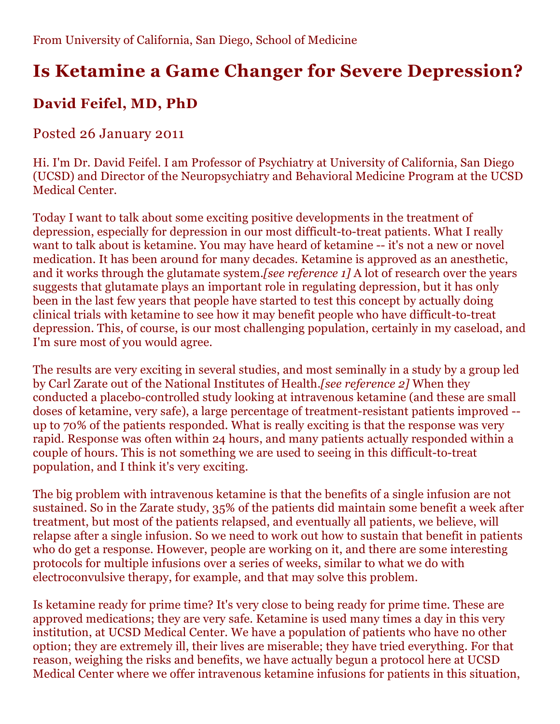# **Is Ketamine a Game Changer for Severe Depression?**

## **David Feifel, MD, PhD**

#### Posted 26 January 2011

Hi. I'm Dr. David Feifel. I am Professor of Psychiatry at University of California, San Diego (UCSD) and Director of the Neuropsychiatry and Behavioral Medicine Program at the UCSD Medical Center.

Today I want to talk about some exciting positive developments in the treatment of depression, especially for depression in our most difficult-to-treat patients. What I really want to talk about is ketamine. You may have heard of ketamine -- it's not a new or novel medication. It has been around for many decades. Ketamine is approved as an anesthetic, and it works through the glutamate system.*[see reference 1]* A lot of research over the years suggests that glutamate plays an important role in regulating depression, but it has only been in the last few years that people have started to test this concept by actually doing clinical trials with ketamine to see how it may benefit people who have difficult-to-treat depression. This, of course, is our most challenging population, certainly in my caseload, and I'm sure most of you would agree.

The results are very exciting in several studies, and most seminally in a study by a group led by Carl Zarate out of the National Institutes of Health.*[see reference 2]* When they conducted a placebo-controlled study looking at intravenous ketamine (and these are small doses of ketamine, very safe), a large percentage of treatment-resistant patients improved - up to 70% of the patients responded. What is really exciting is that the response was very rapid. Response was often within 24 hours, and many patients actually responded within a couple of hours. This is not something we are used to seeing in this difficult-to-treat population, and I think it's very exciting.

The big problem with intravenous ketamine is that the benefits of a single infusion are not sustained. So in the Zarate study, 35% of the patients did maintain some benefit a week after treatment, but most of the patients relapsed, and eventually all patients, we believe, will relapse after a single infusion. So we need to work out how to sustain that benefit in patients who do get a response. However, people are working on it, and there are some interesting protocols for multiple infusions over a series of weeks, similar to what we do with electroconvulsive therapy, for example, and that may solve this problem.

Is ketamine ready for prime time? It's very close to being ready for prime time. These are approved medications; they are very safe. Ketamine is used many times a day in this very institution, at UCSD Medical Center. We have a population of patients who have no other option; they are extremely ill, their lives are miserable; they have tried everything. For that reason, weighing the risks and benefits, we have actually begun a protocol here at UCSD Medical Center where we offer intravenous ketamine infusions for patients in this situation,